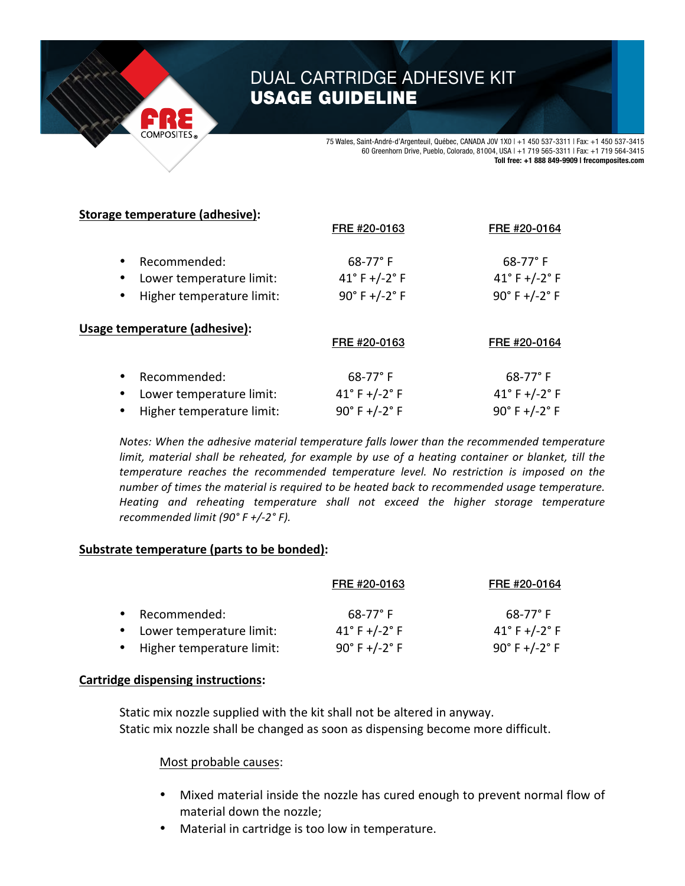# DUAL CARTRIDGE ADHESIVE KIT USAGE GUIDELINE

75 Wales, Saint-André-d'Argenteuil, Québec, CANADA J0V 1X0 | +1 450 537-3311 | Fax: +1 450 537-3415 60 Greenhorn Drive, Pueblo, Colorado, 81004, USA | +1 719 565-3311 | Fax: +1 719 564-3415 **Toll free: +1 888 849-9909 | frecomposites.com**

FRE #20-0164

## **Storage temperature (adhesive):**

|                                                                                                              | FRE #20-0163                                                                    | FRE #20-0164                                          |
|--------------------------------------------------------------------------------------------------------------|---------------------------------------------------------------------------------|-------------------------------------------------------|
| Recommended:<br>$\bullet$<br>Lower temperature limit:<br>$\bullet$<br>Higher temperature limit:<br>$\bullet$ | $68-77^{\circ}$ F<br>$41^{\circ}$ F +/-2 $^{\circ}$ F<br>$90^{\circ}$ F +/-2° F | $68 - 77$ °F<br>41°F +/-2°F<br>$90^{\circ}$ F +/-2° F |
| Usage temperature (adhesive):                                                                                | FRE #20-0163                                                                    | FRE #20-0164                                          |
| Recommended:<br>$\bullet$<br>Lower temperature limit:<br>$\bullet$                                           | $68 - 77$ °F<br>41°F+/-2°F                                                      | 68-77°F<br>41°F +/-2°F                                |

 $\mu$  Higher temperature limit:  $\mu$  90° F +/-2° F  $\mu$  90° F +/-2° F

*Notes: When the adhesive material temperature falls lower than the recommended temperature limit, material shall be reheated, for example by use of a heating container or blanket, till the temperature reaches the recommended temperature level. No restriction is imposed on the number* of times the material is required to be heated back to recommended usage temperature. Heating and reheating temperature shall not exceed the higher storage temperature *recommended limit (90° F +/-2° F).*

## **Substrate temperature (parts to be bonded):**

|           |                             | FRE #20-0163                     | FRE #20-0164                     |
|-----------|-----------------------------|----------------------------------|----------------------------------|
| $\bullet$ | Recommended:                | $68-77^{\circ}$ F                | $68-77^{\circ}$ F                |
|           | • Lower temperature limit:  | $41^{\circ}$ F +/-2 $^{\circ}$ F | $41^{\circ}$ F +/-2 $^{\circ}$ F |
|           | • Higher temperature limit: | $90^{\circ}$ F +/-2 $^{\circ}$ F | $90^{\circ}$ F +/-2 $^{\circ}$ F |

## **Cartridge dispensing instructions:**

Static mix nozzle supplied with the kit shall not be altered in anyway. Static mix nozzle shall be changed as soon as dispensing become more difficult.

#### Most probable causes:

- Mixed material inside the nozzle has cured enough to prevent normal flow of material down the nozzle;
- Material in cartridge is too low in temperature.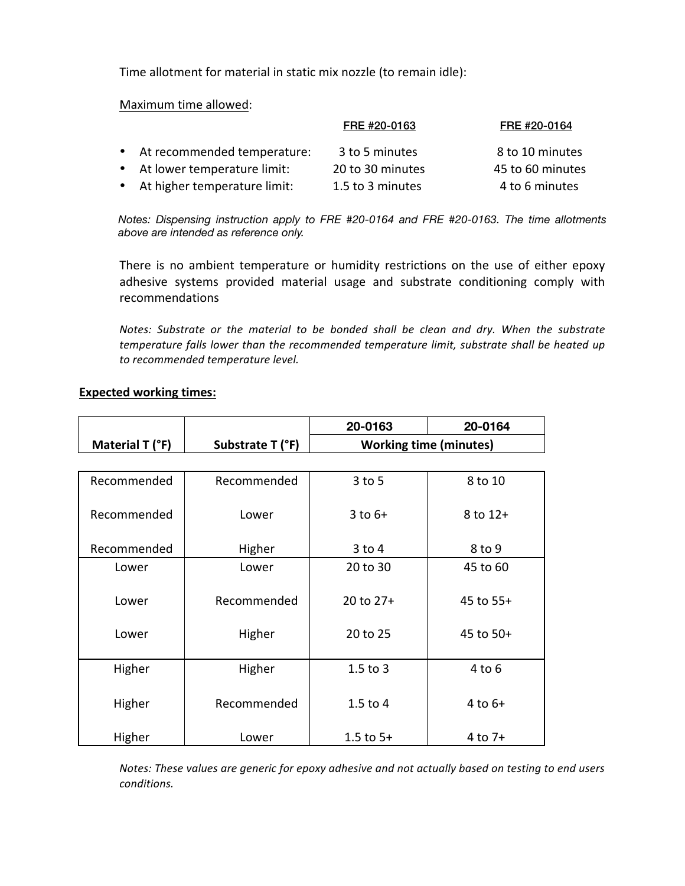Time allotment for material in static mix nozzle (to remain idle):

Maximum time allowed:

| FRE #20-0163                   |                  | FRE #20-0164     |
|--------------------------------|------------------|------------------|
| • At recommended temperature:  | 3 to 5 minutes   | 8 to 10 minutes  |
| • At lower temperature limit:  | 20 to 30 minutes | 45 to 60 minutes |
| • At higher temperature limit: | 1.5 to 3 minutes | 4 to 6 minutes   |

*Notes: Dispensing instruction apply to FRE #20-0164 and FRE #20-0163. The time allotments time allotments above are intended as reference only. above are intended as reference only.*

There is no ambient temperature or humidity restrictions on the use of either epoxy adhesive systems provided material usage and substrate conditioning comply with recommendations

*Notes: Substrate or the material to be bonded shall be clean and dry. When the substrate temperature falls lower than the recommended temperature limit, substrate shall be heated up to recommended temperature level.*

|                 |                  | 20-0163       | 20-0164                       |  |
|-----------------|------------------|---------------|-------------------------------|--|
| Material T (°F) | Substrate T (°F) |               | <b>Working time (minutes)</b> |  |
|                 |                  |               |                               |  |
| Recommended     | Recommended      | $3$ to $5$    | 8 to 10                       |  |
| Recommended     | Lower            | $3$ to $6+$   | $8$ to $12+$                  |  |
| Recommended     | Higher           | $3$ to $4$    | 8 to 9                        |  |
| Lower           | Lower            | 20 to 30      | 45 to 60                      |  |
| Lower           | Recommended      | 20 to 27+     | 45 to 55+                     |  |
| Lower           | Higher           | 20 to 25      | 45 to 50+                     |  |
| Higher          | Higher           | $1.5$ to 3    | $4$ to $6$                    |  |
| Higher          | Recommended      | $1.5$ to $4$  | 4 to $6+$                     |  |
| Higher          | Lower            | $1.5$ to $5+$ | $4$ to $7+$                   |  |

#### **Expected working times:**

*Notes: These values are generic for epoxy adhesive and not actually based on testing to end users conditions.*